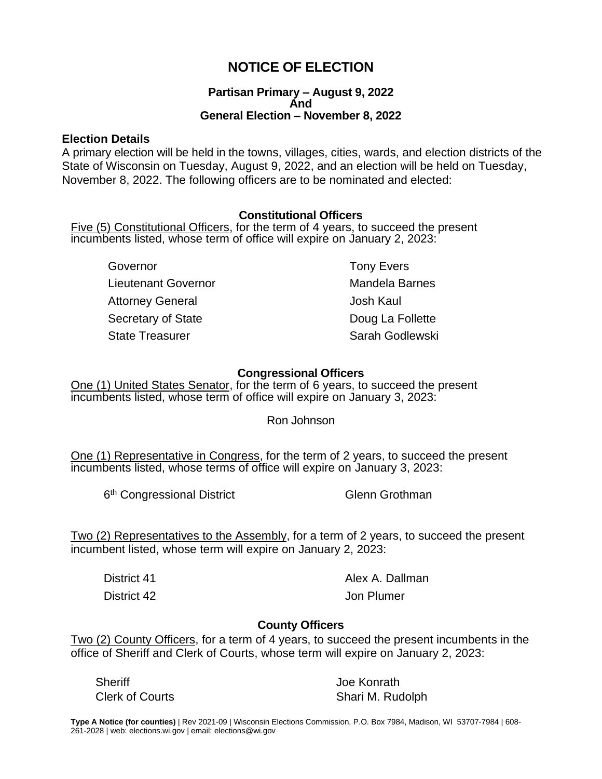# **NOTICE OF ELECTION**

### **Partisan Primary – August 9, 2022 And General Election – November 8, 2022**

### **Election Details**

A primary election will be held in the towns, villages, cities, wards, and election districts of the State of Wisconsin on Tuesday, August 9, 2022, and an election will be held on Tuesday, November 8, 2022. The following officers are to be nominated and elected:

## **Constitutional Officers**

Five (5) Constitutional Officers, for the term of 4 years, to succeed the present incumbents listed, whose term of office will expire on January 2, 2023:

Governor **Governor Tony Evers** Lieutenant Governor **Mandela Barnes** Attorney General and The State States and Attorney General and The Josh Kaul Secretary of State Doug La Follette State Treasurer State Treasurer State Sarah Godlewski

## **Congressional Officers**

One (1) United States Senator, for the term of 6 years, to succeed the present incumbents listed, whose term of office will expire on January 3, 2023:

Ron Johnson

One (1) Representative in Congress, for the term of 2 years, to succeed the present incumbents listed, whose terms of office will expire on January 3, 2023:

6<sup>th</sup> Congressional District Glenn Grothman

Two (2) Representatives to the Assembly, for a term of 2 years, to succeed the present incumbent listed, whose term will expire on January 2, 2023:

District 41 **Alex A. Dallman** District 42 Jon Plumer

## **County Officers**

Two (2) County Officers, for a term of 4 years, to succeed the present incumbents in the office of Sheriff and Clerk of Courts, whose term will expire on January 2, 2023:

Sheriff Joe Konrath

Clerk of Courts **Shari M. Rudolph**